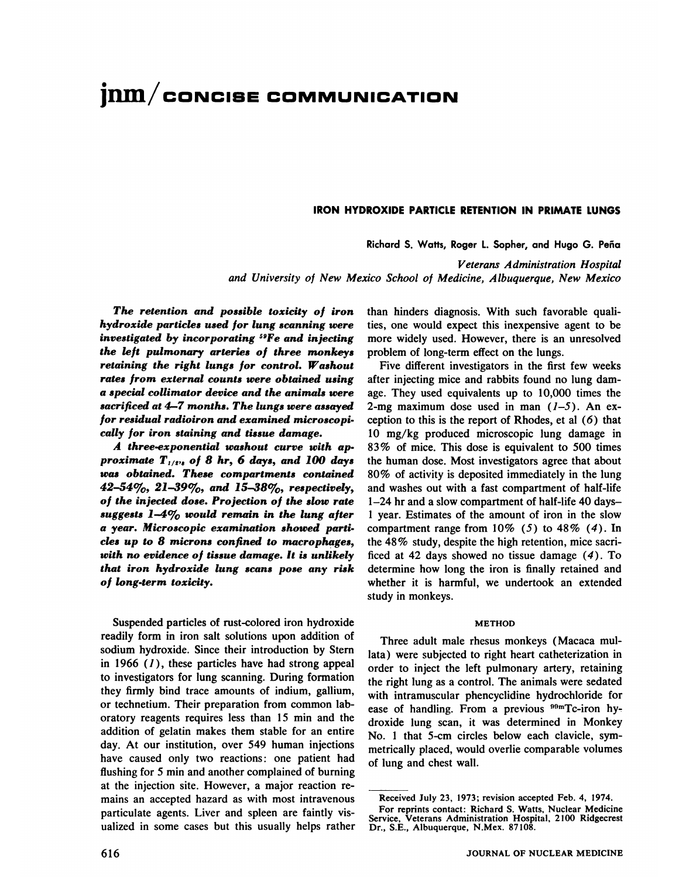# **jiun/coNcIsE COMMUNICATION**

# **IRON HYDROXIDE PARTICLE RETENTION IN PRIMATE LUNGS**

Richard S. Watts, Roger L. Sopher, and Hugo G. Peña

*Veterans Administration Hospital and University of New Mexico School of Medicine, Albuquerque, New Mexico*

*The retention and possible toxicity of iron hydroxide particles used for lung scanning were investigated by incorporating 59Fe and injecting the left pulmonary arteries of three monkeys retaining the right lungs for control. Washout rates from external counts were obtained using a special collimator device and the animals were sacrificed at 4—7months. The lungs were assayed for residual radioiron and examined microscopi cally for iron staining and tissue damage.*

*A three-exponential washout curve with ap proximate T112,8 of 8 hr,6 days, and 100 days was obtained. These compartments contained* 42-54 $\%$ , 21-39 $\%$ , and 15-38 $\%$ , respectively, *of the injected dose. Projection of the slow rate suggests 1-4% would remain in the lung after a year. Microscopic examination showed parti des up to 8 microns confined to macrophages, with no evidence of tissue damage. It is unlikely that iron hydroxide lung scans pose any risk of long-term toxicity.*

Suspended particles of rust-colored iron hydroxide readily form in iron salt solutions upon addition of sodium hydroxide. Since their introduction by Stern in 1966  $(1)$ , these particles have had strong appeal to investigators for lung scanning. During formation they firmly bind trace amounts of indium, gallium, or technetium. Their preparation from common lab oratory reagents requires less than 15 min and the addition of gelatin makes them stable for an entire day. At our institution, over 549 human injections have caused only two reactions: one patient had flushing for 5 min and another complained of burning at the injection site. However, a major reaction re mains an accepted hazard as with most intravenous particulate agents. Liver and spleen are faintly vis ualized in some cases but this usually helps rather than hinders diagnosis. With such favorable quali ties, one would expect this inexpensive agent to be more widely used. However, there is an unresolved problem of long-term effect on the lungs.

Five different investigators in the first few weeks after injecting mice and rabbits found no lung dam age. They used equivalents up to 10,000 times the 2-mg maximum dose used in man  $(1-5)$ . An exception to this is the report of Rhodes, et al  $(6)$  that 10 mg/kg produced microscopic lung damage in 83 % of mice. This dose is equivalent to 500 times the human dose. Most investigators agree that about 80% of activity is deposited immediately in the lung and washes out with a fast compartment of half-life 1—24hr and a slow compartment of half-life 40 days 1 year. Estimates of the amount of iron in the slow compartment range from  $10\%$  (5) to  $48\%$  (4). In the 48% study, despite the high retention, mice sacri ficed at 42 days showed no tissue damage  $(4)$ . To determine how long the iron is finally retained and whether it is harmful, we undertook an extended study in monkeys.

### **METHOD**

Three adult male rhesus monkeys (Macaca mul lata) were subjected to right heart catheterization in order to inject the left pulmonary artery, retaining the right lung as a control. The animals were sedated with intramuscular phencyclidine hydrochloride for ease of handling. From a previous  $99mTc$ -iron hydroxide lung scan, it was determined in Monkey No. 1 that 5-cm circles below each clavicle, sym metrically placed, would overlie comparable volumes of lung and chest wall.

Received July 23, 1973; revision accepted Feb. 4, 1974.

For reprints contact: Richard S. Watts, Nuclear Medicine Service, Veterans Administration Hospital, 2100 Ridgecrest Dr., S.E., Albuquerque, N.Mex. 87108.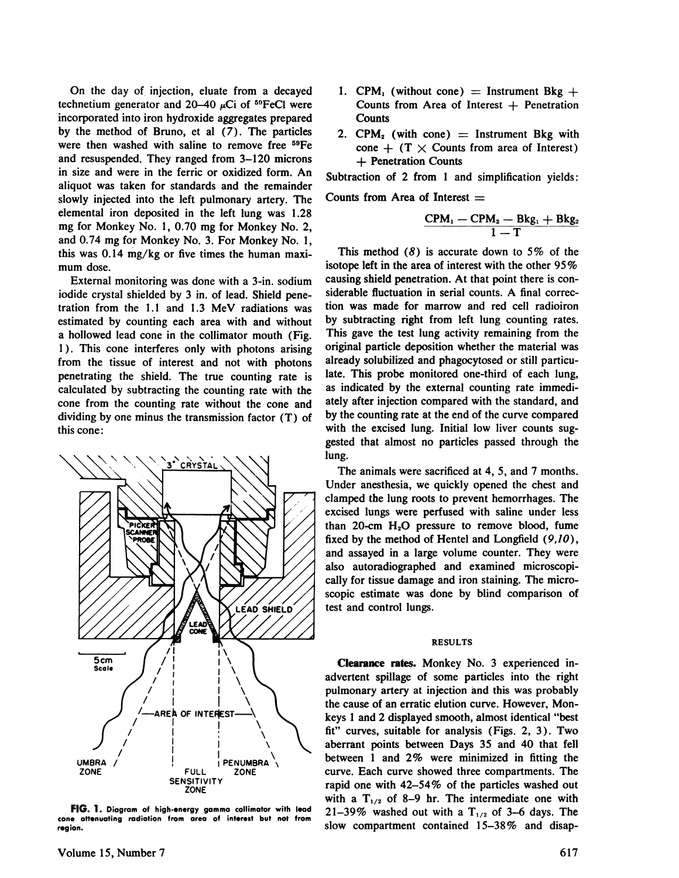On the day of. injection, eluate from a decayed technetium generator and  $20-40 \mu$ Ci of <sup>59</sup>FeCl were incorporated into iron hydroxide aggregates prepared by the method of Bruno, et al (7). The particles were then washed with saline to remove free 59Fe and resuspended. They ranged from 3—120microns in size and were in the ferric or oxidized form. An aliquot was taken for standards and the remainder slowly injected into the left pulmonary artery. The elemental iron deposited in the left lung was 1.28 elementar from deposited in the fett lung was 1.28<br>
mg for Monkey No. 1, 0.70 mg for Monkey No. 2,<br>  $\frac{\text{CPM}_1 - \text{CPM}_2 - \text{Bkg}_1 + \text{Bkg}_2}{1 - \text{T}}$ and 0.74 mg for Monkey No. 3. For Monkey No.I, this was  $0.14 \text{ mg/kg}$  or five times the human maximum dose.

External monitoring was done with a 3-in. sodium iodide crystal shielded by 3 in. of lead. Shield pene tration from the  $1.1$  and  $1.3$  MeV radiations was estimated by counting each area with and without a hollowed lead cone in the collimator mouth (Fig. 1). This cone interferes only with photons arising from the tissue of interest and not with photons penetrating the shield. The true counting rate is calculated by subtracting the counting rate with the cone from the counting rate without the cone and dividing by one minus the transmission factor (T) of this cone:



**FIG. 1. Diagramof high-energygammacollimatorwith lead cone attenuating radiation from area ofinterest but not from** region.

- 1. CPM<sub>1</sub> (without cone) = Instrument Bkg + Counts from Area of Interest  $+$  Penetration **Counts**
- 2. CPM<sub>2</sub> (with cone)  $=$  Instrument Bkg with cone  $+$  (T  $\times$  Counts from area of Interest) + Penetration Counts

Subtraction of 2 from 1 and simplification yields:

Counts from Area of Interest  $=$ 

$$
\frac{CPM_1 - CPM_2 - Bkg_1 + Bkg_2}{1 - T}
$$

This method  $(8)$  is accurate down to 5% of the isotope left in the area of interest with the other 95% causing shield penetration. At that point there is con siderable fluctuation in serial counts. A final correc tion was made for marrow and red cell radioiron by subtracting right from left lung counting rates. This gave the test lung activity remaining from the original particle deposition whether the material was already solubilized and phagocytosed or still particu late. This probe monitored one-third of each lung, as indicated by the external counting rate immedi ately after injection compared with the standard, and by the counting rate at the end of the curve compared with the excised lung. Initial low liver counts sug gested that almost no particles passed through the lung.

The animals were sacrificed at 4, 5, and 7 months. Under anesthesia, we quickly opened the chest and clamped the lung roots to prevent hemorrhages. The excised lungs were perfused with saline under less than 20-cm  $H<sub>2</sub>O$  pressure to remove blood, fume fixed by the method of Hentel and Longfield  $(9,10)$ , and assayed in a large volume counter. They were also autoradiographed and examined microscopi cally for tissue damage and iron staining. The micro scopic estimate was done by blind comparison of test and control lungs.

# RESULTS

Clearance rates. Monkey No. 3 experienced in advertent spillage of some particles into the right pulmonary artery at injection and this was probably the cause of an erratic elution curve. However, Mon keys 1 and 2 displayed smooth, almost identical "best fit" curves, suitable for analysis (Figs.  $2, 3$ ). Two aberrant points between Days 35 and 40 that fell between 1 and  $2\%$  were minimized in fitting the curve. Each curve showed three compartments. The rapid one with 42—54% of the particles washed out with a  $T_{1/2}$  of 8–9 hr. The intermediate one with 21–39% washed out with a  $T_{1/2}$  of 3–6 days. The slow compartment contained 15-38% and disap-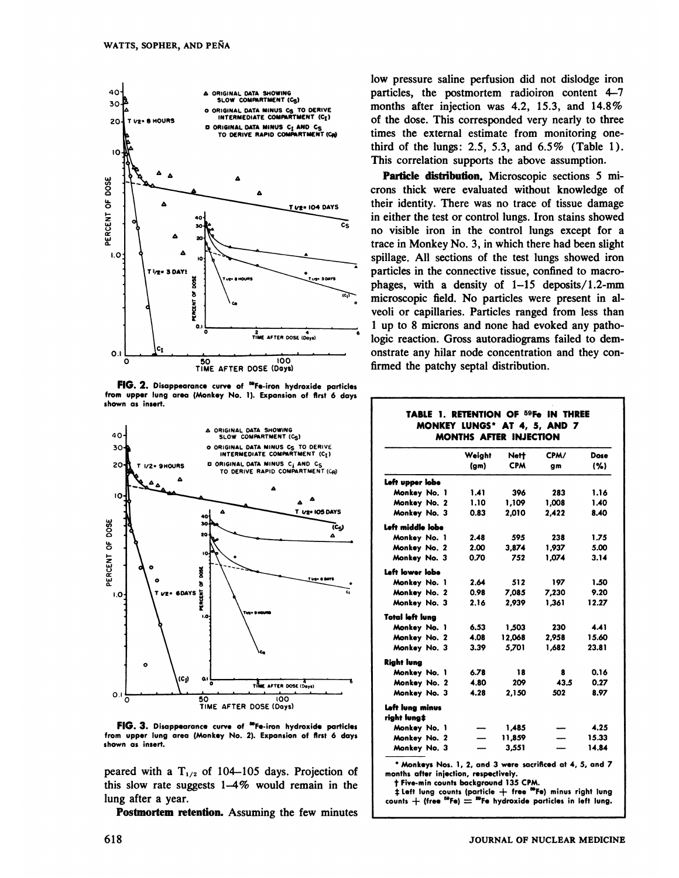

FIG. 2. Disappearance curve of <sup>50</sup>Fe-iron hydroxide particles **from upper lung area (Monkey No. 1). Expansion of first 6 days** shown as insert.



FIG. 3. Disappearance curve of <sup>50</sup>Fe-iron hydroxide particles from upper lung area (Monkey No. 2). Expansion of first 6 days **shown as insert.**

peared with a  $T_{1/2}$  of 104–105 days. Projection of this slow rate suggests  $1-4\%$  would remain in the lung after a year.

Postmortem retention. Assuming the few minutes

low pressure saline perfusion did not dislodge iron particles, the postmortem radioiron content 4—7 months after injection was 4.2, 15.3, and 14.8% of the dose. This corresponded very nearly to three times the external estimate from monitoring one third of the lungs: 2.5, 5.3, and 6.5% (Table 1). This correlation supports the above assumption.

Particle distribution. Microscopic sections 5 microns thick were evaluated without knowledge of their identity. There was no trace of tissue damage in either the test or control lungs. Iron stains showed no visible iron in the control lungs except for a trace in Monkey No. 3, in which there had been slight spillage. All sections of the test lungs showed iron particles in the connective tissue, confined to macro phages, with a density of  $1-15$  deposits/1.2-mm microscopic field. No particles were present in al veoli or capillaries. Particles ranged from less than 1 up to 8 microns and none had evoked any patho logic reaction. Gross autoradiograms failed to dem onstrate any hilar node concentration and they con firmed the patchy septal distribution.

### **TABLE 1. RETENTION OF 5@FeIN THREE MONKEY LUNGS\* AT 4, 5, AND 7 MONTHS AFTER INJECTION**

|                  | Weight<br>$(g_m)$ | Nett<br><b>CPM</b> | CPM/<br>gm | Dose<br>(% ) |
|------------------|-------------------|--------------------|------------|--------------|
|                  |                   |                    |            |              |
| Left upper lobe  |                   |                    |            |              |
| Monkey No. 1     | 1.41              | 396                | 283        | 1.16         |
| Monkey No. 2     | 1.10              | 1.109              | 1,008      | 1.40         |
| Monkey No. 3     | 0.83              | 2.010              | 2.422      | 8.40         |
| Left middle lobe |                   |                    |            |              |
| Monkey No. 1     | 2.48              | 595                | 238        | 1.75         |
| Monkey No. 2     | 2.00              | 3.874              | 1.937      | 5.00         |
| Monkey No. 3     | 0.70              | 752                | 1.074      | 3.14         |
| Left lower lobe  |                   |                    |            |              |
| Monkey No. 1     | 2.64              | 512                | 197        | 1.50         |
| Monkey No. 2     | 0.98              | 7.085              | 7,230      | 9.20         |
| Monkey No. 3     | 2.16              | 2.939              | 1.361      | 12.27        |
| Total left luna  |                   |                    |            |              |
| Monkey No. 1     | 6.53              | 1,503              | 230        | 4.41         |
| Monkey No. 2     | 4.08              | 12,068             | 2,958      | 15.60        |
| Monkey No. 3     | 3.39              | 5,701              | 1.682      | 23.81        |
| Right lung       |                   |                    |            |              |
| Monkey No. 1     | 6.78              | 18                 | 8          | 0.16         |
| Monkey No. 2     | 4.80              | 209                | 43.5       | 0.27         |
| Monkey No. 3     | 4.28              | 2,150              | 502        | 8.97         |
| Left lung minus  |                   |                    |            |              |
| riaht luna‡      |                   |                    |            |              |
| Monkey No. 1     |                   | 1,485              |            | 4.25         |
| Monkey No. 2     |                   | 11,859             |            | 15.33        |
| Monkey No. 3     |                   | 3,551              |            | 14.84        |

**\* Monkeys Nos. 1, 2, and 3 were sacrificed at 4, 5, and 7 monthsafter injection, respectively.**

**t Five-mmcountsbackground135CPM.**

:@Left lung counts (particle -(- free MFe) minus right lung **counts+ (free @Fe)= @Fehydroxide particles in left lung.**